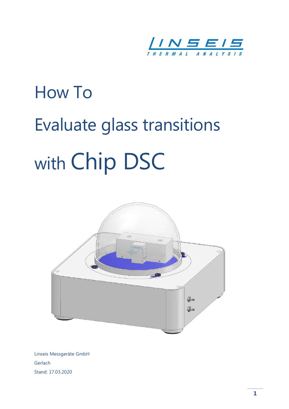

# How To Evaluate glass transitions with Chip DSC



Linseis Messgeräte GmbH Gerlach Stand: 17.03.2020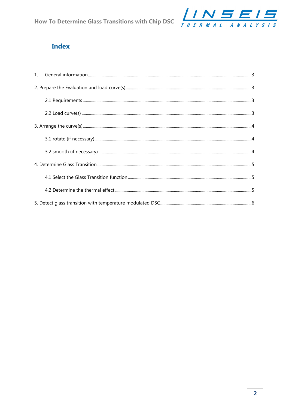

# **Index**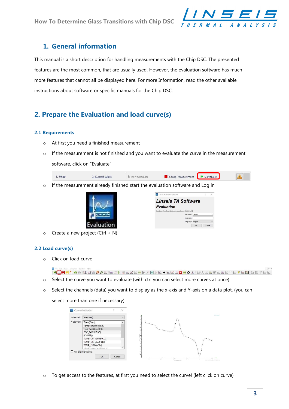

## 1. General information

This manual is a short description for handling measurements with the Chip DSC. The presented features are the most common, that are usually used. However, the evaluation software has much more features that cannot all be displayed here. For more Information, read the other available instructions about software or specific manuals for the Chip DSC.

# 2. Prepare the Evaluation and load curve(s)

#### 2.1 Requirements

- o At first you need a finished measurement
- $\circ$  If the measurement is not finished and you want to evaluate the curve in the measurement software, click on "Evaluate"

| <sub>1</sub> . Setup | <b>Current values</b> | chequier | 4. Stop Measurement | <b>J.</b> Evaluate<br>. . |  |
|----------------------|-----------------------|----------|---------------------|---------------------------|--|
|----------------------|-----------------------|----------|---------------------|---------------------------|--|

o If the measurement already finished start the evaluation software and Log in



| Linseis Platinum Software                           |           |         |              |
|-----------------------------------------------------|-----------|---------|--------------|
| <i><b>Linseis TA Software</b></i>                   |           |         |              |
| <b>Evaluation</b>                                   |           |         |              |
| Database: localhost:C:/Linseis/database ChipDSC.fdb |           |         |              |
|                                                     | Username: | Admin   | $\checkmark$ |
|                                                     |           |         |              |
| Password:                                           |           |         |              |
| Language:                                           |           | English |              |

 $\circ$  Create a new project (Ctrl + N)

## 2.2 Load curve(s)

o Click on load curve

BOHM\* • • KNEPPERISBELLEREFROPLIFFEREREFREETERELLE

- o Select the curve you want to evaluate (with ctrl you can select more curves at once)
- $\circ$  Select the channels (data) you want to display as the x-axis and Y-axis on a data plot. (you can

select more than one if necessary)



o To get access to the features, at first you need to select the curve! (left click on curve)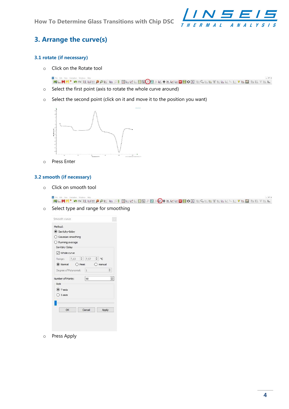How To Determine Glass Transitions with Chip DSC



# 3. Arrange the curve(s)

#### 3.1 rotate (if necessary)

o Click on the Rotate tool

團 **HLHM\* o ILDE O OL WIS BELLLEOD**D O LARELLE DO BC EL TELLEURAL

- o Select the first point (axis to rotate the whole curve around)
- o Select the second point (click on it and move it to the position you want)



o Press Enter

#### 3.2 smooth (if necessary)

o Click on smooth tool

÷. **HLHM\* oo KNEPPE RIS BERKED BARACH REKED OO BEGETERELLE VAN BEVAL** 

o Select type and range for smoothing

| Savitzky-Golay             |                       |                         |                  |
|----------------------------|-----------------------|-------------------------|------------------|
|                            | ◯ Gaussian smoothing  |                         |                  |
| $\bigcirc$ Running average |                       |                         |                  |
| Savitzky Golay             |                       |                         |                  |
| <b>○</b> Whole curve       |                       |                         |                  |
| Range:                     |                       | 7,13 $\div$ 7,57 $\div$ | $^{\circ}$ C     |
|                            | O Normal O Peak       |                         | O manual         |
|                            | Degree of Polynomial: | $\vert$ 1               |                  |
|                            |                       |                         |                  |
| Number of Points:          |                       | 50 <sup>2</sup>         | $\ddot{\ddot{}}$ |
| Axis                       |                       |                         |                  |
| $()$ Y-axis                |                       |                         |                  |
| $\bigcirc$ X-axis          |                       |                         |                  |
|                            |                       |                         |                  |
|                            |                       |                         |                  |
| OK                         |                       | Cancel                  | Apply            |
|                            |                       |                         |                  |

o Press Apply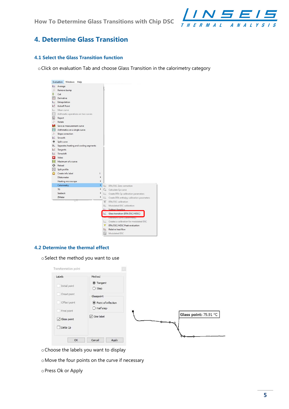How To Determine Glass Transitions with Chip DSC



## 4. Determine Glass Transition

## 4.1 Select the Glass Transition function

oClick on evaluation Tab and choose Glass Transition in the calorimetry category

|                       | Evaluation<br>Windows<br>Help          |                 |                                                |
|-----------------------|----------------------------------------|-----------------|------------------------------------------------|
|                       | LAVerage                               |                 |                                                |
| $\mathbb{I}$          | Remove bump                            |                 |                                                |
| 8.                    | Cut                                    |                 |                                                |
| $\sigma$ <sub>E</sub> | Derivative                             |                 |                                                |
| $\equiv$              | Extrapolation                          |                 |                                                |
| P                     | <b>Kickoff Point</b>                   |                 |                                                |
|                       | Mean curve                             |                 |                                                |
| Fty.o                 | Arithmetic operations on two curves    |                 |                                                |
| 똨                     | Report                                 |                 |                                                |
| $\triangleright$      | Rotate                                 |                 |                                                |
| н                     | Save as measurement curve              |                 |                                                |
|                       | f(y) Arithmetics on a single curve     |                 |                                                |
| $\triangleright$      | Slope correction                       |                 |                                                |
|                       | └ Smooth                               |                 |                                                |
| ÷                     | Split curve                            |                 |                                                |
| 医                     | Separates heating and cooling segments |                 |                                                |
| K                     | Tangents                               |                 |                                                |
| H                     | Timeshift                              |                 |                                                |
| $\blacktriangleright$ | Video                                  |                 |                                                |
| max                   | Maximum of a curve                     |                 |                                                |
|                       | <b>Q</b> Reload                        |                 |                                                |
|                       | <b>木</b> Split profile                 |                 |                                                |
|                       | Create info label<br>ı                 |                 |                                                |
|                       | Dilatometer                            |                 |                                                |
|                       | Heating microscope                     |                 |                                                |
|                       | Calorimetry<br>٠                       |                 | <b>BEE</b> DTA/DSC Zero correction             |
|                       | <b>TG</b><br>١                         |                 | C <sub>p</sub> Calculate Cp curve              |
|                       | Seebeck                                |                 | Create DTA Cp calibration parameters           |
|                       | ZMeter<br>٠                            |                 | [F] Create DTA enthalpy calibration parameters |
|                       |                                        |                 | DTA/DSC calibration                            |
|                       |                                        | 19 <sub>1</sub> | Modulated DSC calibration                      |
|                       |                                        |                 | Like Subtract baseline                         |
|                       |                                        |                 | Glass transition (DTA/DSC/HDSC)                |
|                       |                                        |                 | Literature curve (calonmetry)                  |
|                       |                                        |                 | Let Creates a calibration for modulated DSC    |
|                       |                                        | $\mathbf v$     | DTA/DSC/HDSC Peak evaluation                   |
|                       |                                        | $\mathbb{R}$    | Relative heat flow                             |
|                       |                                        | $\mathbb{Q}_d$  | Modulated DSC                                  |

## 4.2 Determine the thermal effect

oSelect the method you want to use

| Labels                             | Method                    |                       |
|------------------------------------|---------------------------|-----------------------|
| Initial point                      | Tangent<br>$O$ Step       |                       |
| Onset point<br>F                   | Glasspoint                |                       |
| Offset point<br><b>DESCRIPTION</b> | O Point of inflection     |                       |
| Final point                        | $\bigcirc$ Half step      |                       |
| $\boxdot$ Glass point              | $\triangledown$ One label | Glass point: 79.91 °C |
| $\Box$ Delta Cp                    |                           |                       |
|                                    |                           |                       |

- oChoose the labels you want to display
- oMove the four points on the curve if necessary
- oPress Ok or Apply